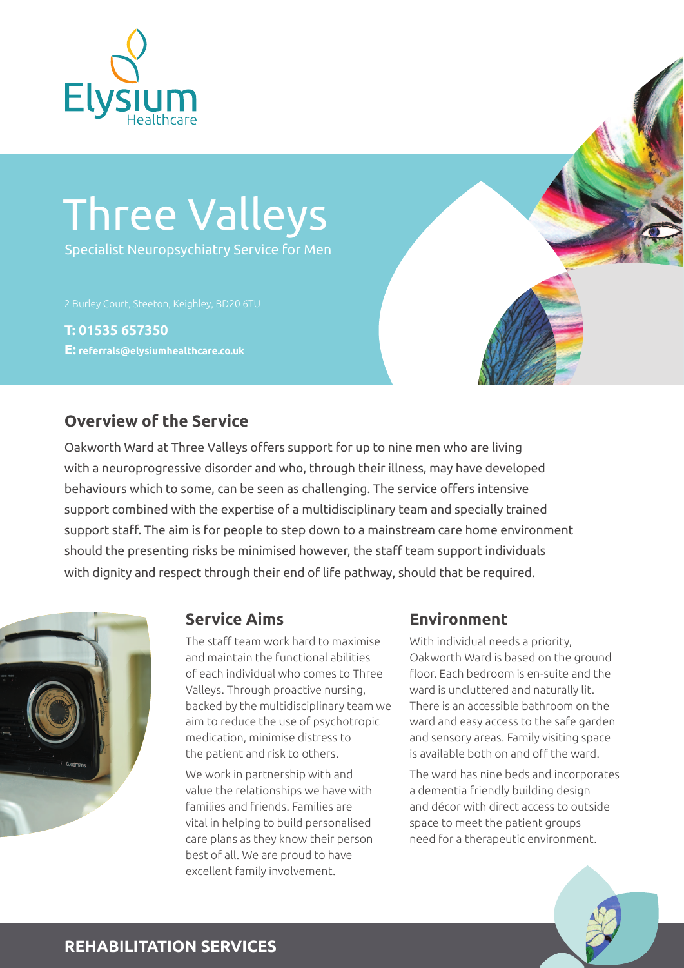

# Three Valleys

Specialist Neuropsychiatry Service for Men

2 Burley Court, Steeton, Keighley, BD20 6TU

**T: 01535 657350 E: referrals@elysiumhealthcare.co.uk**

## **Overview of the Service**

Oakworth Ward at Three Valleys offers support for up to nine men who are living with a neuroprogressive disorder and who, through their illness, may have developed behaviours which to some, can be seen as challenging. The service offers intensive support combined with the expertise of a multidisciplinary team and specially trained support staff. The aim is for people to step down to a mainstream care home environment should the presenting risks be minimised however, the staff team support individuals with dignity and respect through their end of life pathway, should that be required.



The staff team work hard to maximise and maintain the functional abilities of each individual who comes to Three Valleys. Through proactive nursing, backed by the multidisciplinary team we aim to reduce the use of psychotropic medication, minimise distress to the patient and risk to others.

We work in partnership with and value the relationships we have with families and friends. Families are vital in helping to build personalised care plans as they know their person best of all. We are proud to have excellent family involvement.

#### **Service Aims Environment**

With individual needs a priority, Oakworth Ward is based on the ground floor. Each bedroom is en-suite and the ward is uncluttered and naturally lit. There is an accessible bathroom on the ward and easy access to the safe garden and sensory areas. Family visiting space is available both on and off the ward.

The ward has nine beds and incorporates a dementia friendly building design and décor with direct access to outside space to meet the patient groups need for a therapeutic environment.